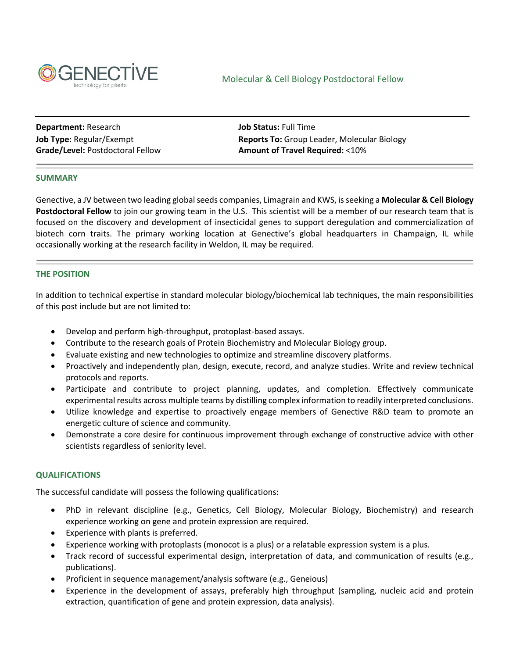

**Department:** Research **Job Status:** Full Time

**Job Type:** Regular/Exempt **Reports To:** Group Leader, Molecular Biology Grade/Level: Postdoctoral Fellow **Amount of Travel Required:** <10%

# **SUMMARY**

Genective, a JV between two leading global seeds companies, Limagrain and KWS, is seeking a **Molecular & Cell Biology Postdoctoral Fellow** to join our growing team in the U.S. This scientist will be a member of our research team that is focused on the discovery and development of insecticidal genes to support deregulation and commercialization of biotech corn traits. The primary working location at Genective's global headquarters in Champaign, IL while occasionally working at the research facility in Weldon, IL may be required.

# **THE POSITION**

In addition to technical expertise in standard molecular biology/biochemical lab techniques, the main responsibilities of this post include but are not limited to:

- Develop and perform high-throughput, protoplast-based assays.
- Contribute to the research goals of Protein Biochemistry and Molecular Biology group.
- Evaluate existing and new technologies to optimize and streamline discovery platforms.
- Proactively and independently plan, design, execute, record, and analyze studies. Write and review technical protocols and reports.
- Participate and contribute to project planning, updates, and completion. Effectively communicate experimental results across multiple teams by distilling complex information to readily interpreted conclusions.
- Utilize knowledge and expertise to proactively engage members of Genective R&D team to promote an energetic culture of science and community.
- Demonstrate a core desire for continuous improvement through exchange of constructive advice with other scientists regardless of seniority level.

# **QUALIFICATIONS**

The successful candidate will possess the following qualifications:

- PhD in relevant discipline (e.g., Genetics, Cell Biology, Molecular Biology, Biochemistry) and research experience working on gene and protein expression are required.
- Experience with plants is preferred.
- Experience working with protoplasts (monocot is a plus) or a relatable expression system is a plus.
- Track record of successful experimental design, interpretation of data, and communication of results (e.g., publications).
- Proficient in sequence management/analysis software (e.g., Geneious)
- Experience in the development of assays, preferably high throughput (sampling, nucleic acid and protein extraction, quantification of gene and protein expression, data analysis).